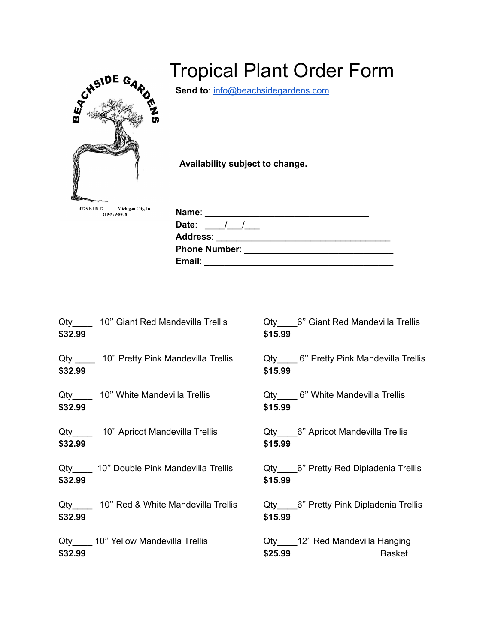

## Tropical Plant Order Form

**Send to**: [info@beachsidegardens.com](mailto:info@beachsidegardens.com)

**Availability subject to change.**

| Name:                |  |
|----------------------|--|
| Date:                |  |
| <b>Address:</b>      |  |
| <b>Phone Number:</b> |  |
| Email:               |  |

| \$32.99 | Qty 10" Giant Red Mandevilla Trellis     | Qty 6" Giant Red Mandevilla Trellis<br>\$15.99             |
|---------|------------------------------------------|------------------------------------------------------------|
| \$32.99 | Qty 10" Pretty Pink Mandevilla Trellis   | Qty 6" Pretty Pink Mandevilla Trellis<br>\$15.99           |
| \$32.99 | Qty______ 10" White Mandevilla Trellis   | Qty 6" White Mandevilla Trellis<br>\$15.99                 |
| \$32.99 | Qty______ 10" Apricot Mandevilla Trellis | Qty 6" Apricot Mandevilla Trellis<br>\$15.99               |
| \$32.99 | Qty 10" Double Pink Mandevilla Trellis   | Qty 6" Pretty Red Dipladenia Trellis<br>\$15.99            |
| \$32.99 | Qty 10" Red & White Mandevilla Trellis   | Qty 6" Pretty Pink Dipladenia Trellis<br>\$15.99           |
| \$32.99 | Qty 10" Yellow Mandevilla Trellis        | Qty 12" Red Mandevilla Hanging<br>\$25.99<br><b>Basket</b> |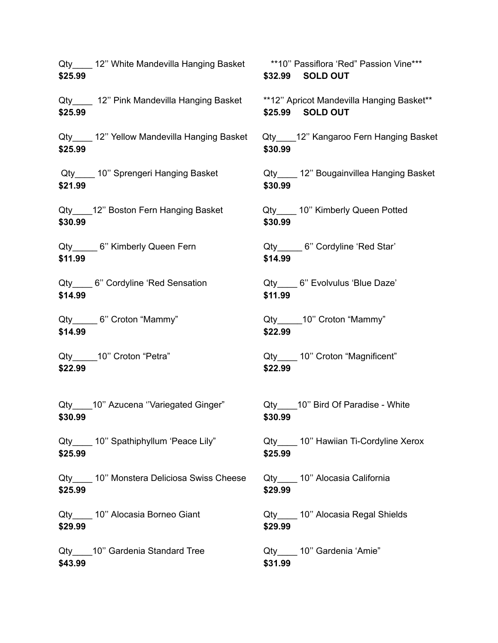**\$25.99 \$32.99 SOLD OUT** Qty 12" Pink Mandevilla Hanging Basket \*\*12" Apricot Mandevilla Hanging Basket\*\* **\$25.99 \$25.99 SOLD OUT** Qty\_\_\_\_ 12" Yellow Mandevilla Hanging Basket Qty\_\_\_\_12" Kangaroo Fern Hanging Basket **\$25.99 \$30.99** Qty 10" Sprengeri Hanging Basket Qty 12" Bougainvillea Hanging Basket **\$21.99 \$30.99** Qty 12" Boston Fern Hanging Basket Qty 10" Kimberly Queen Potted **\$30.99 \$30.99** Qty 6" Kimberly Queen Fern Cty G" Cordyline 'Red Star' **\$11.99 \$14.99** Qty\_\_\_\_ 6" Cordyline 'Red Sensation 
(Qty\_\_\_\_ 6" Evolvulus 'Blue Daze' **\$14.99 \$11.99** Qty\_\_\_\_\_6" Croton "Mammy" and Coreagulary Qty and O' Croton "Mammy" **\$14.99 \$22.99** Qty\_\_\_\_\_10" Croton "Petra" and Contact Corpus Qty\_\_\_\_\_ 10" Croton "Magnificent" **\$22.99 \$22.99** Qty 10" Azucena "Variegated Ginger" Qty 10" Bird Of Paradise - White **\$30.99 \$30.99** Qty\_\_\_\_ 10" Spathiphyllum 'Peace Lily" <br>Qty\_\_\_\_ 10" Hawiian Ti-Cordyline Xerox **\$25.99 \$25.99** Qty 10" Monstera Deliciosa Swiss Cheese Qty 10" Alocasia California **\$25.99 \$29.99** Qty 10" Alocasia Borneo Giant Qty 10" Alocasia Regal Shields **\$29.99 \$29.99** Qty\_\_\_\_10" Gardenia Standard Tree  $Qty$ \_\_\_\_ 10" Gardenia 'Amie" **\$43.99 \$31.99**

Qty 12" White Mandevilla Hanging Basket \*\*10" Passiflora 'Red" Passion Vine\*\*\*